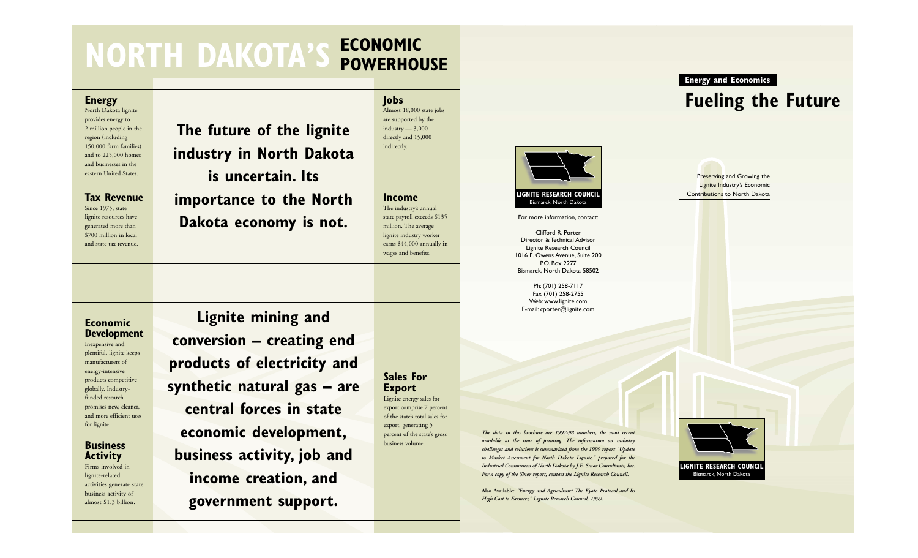## **NORTH DAKOTA'S ECONOMIC POWERHOUSE**

#### **Energy**

North Dakota lignite provides energy to 2 million people in the region (including 150,000 farm families) and to 225,000 homes and businesses in the eastern United States.

#### **Tax Revenue**

Since 1975, state lignite resources have generated more than \$700 million in local and state tax revenue.

**The future of the lignite industry in North Dakota is uncertain. Its importance to the North**

**Dakota economy is not.**

**Jobs** Almost 18,000 state jobs are supported by the  $industrv - 3,000$ directly and 15,000 indirectly.

**Income** The industry's annual state payroll exceeds \$135 million. The average lignite industry worker earns \$44,000 annually in wages and benefits.



For more information, contact:

Clifford R. Porter Director & Technical Advisor Lignite Research Council 1016 E. Owens Avenue, Suite 200 P.O. Box 2277 Bismarck, North Dakota 58502

Ph: (701) 258-7117 Fax (701) 258-2755 Web: www.lignite.com E-mail: cporter@lignite.com

*The data in this brochure are 1997-98 numbers, the most recent available at the time of printing. The information on industry challenges and solutions is summarized from the 1999 report "Update to Market Assessment for North Dakota Lignite," prepared for the Industrial Commission of North Dakota by J.E. Sinor Consultants, Inc. For a copy of the Sinor report, contact the Lignite Research Council.*

**Also Available:** *"Energy and Agriculture: The Kyoto Protocol and Its High Cost to Farmers," Lignite Research Council, 1999.*



**Economic Development**

Inexpensive and <sup>p</sup>lentiful, lignite keeps manufacturers of energy-intensive products competitive globally. Industryfunded research promises new, cleaner, and more efficient uses for lignite.

### **Business Activity**

Firms involved in lignite-related activities generate state business activity of almost \$1.3 billion.

**Lignite mining and conversion – creating end products of electricity and synthetic natural gas – are central forces in state economic development, business activity, job and income creation, and government support.**

**Sales For Export** Lignite energy sales for export comprise 7 percent of the state's total sales for export, generating 5 percent of the state's gross business volume.

**LIGNITE RESEARCH COUNCIL**



**Energy and Economics**

**Fueling the Future**